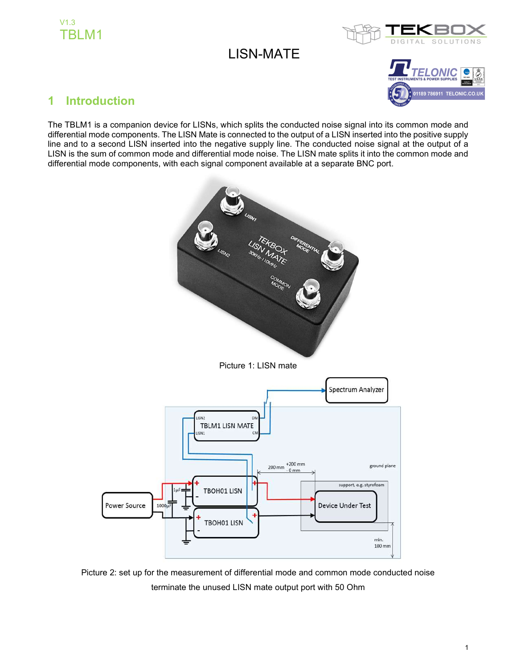



## LISN-MATE



## 1 Introduction

The TBLM1 is a companion device for LISNs, which splits the conducted noise signal into its common mode and differential mode components. The LISN Mate is connected to the output of a LISN inserted into the positive supply line and to a second LISN inserted into the negative supply line. The conducted noise signal at the output of a LISN is the sum of common mode and differential mode noise. The LISN mate splits it into the common mode and differential mode components, with each signal component available at a separate BNC port.



Picture 2: set up for the measurement of differential mode and common mode conducted noise terminate the unused LISN mate output port with 50 Ohm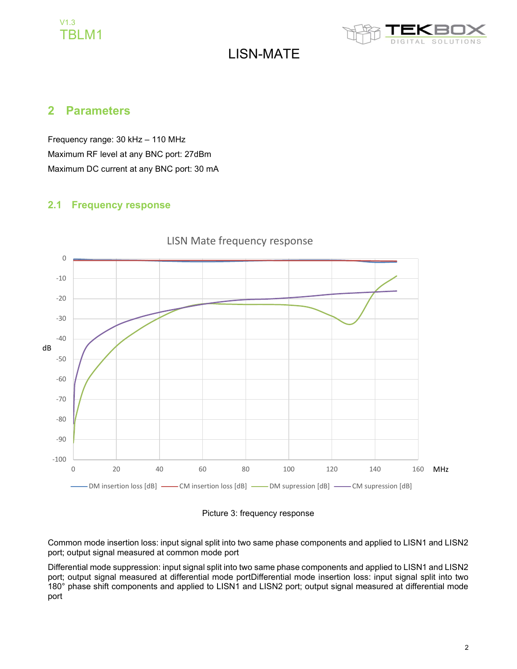### V1.3 TBLM1



# LISN-MATE

#### 2 Parameters

Frequency range: 30 kHz – 110 MHz Maximum RF level at any BNC port: 27dBm Maximum DC current at any BNC port: 30 mA

#### 2.1 Frequency response



### LISN Mate frequency response

Picture 3: frequency response

Common mode insertion loss: input signal split into two same phase components and applied to LISN1 and LISN2 port; output signal measured at common mode port

Differential mode suppression: input signal split into two same phase components and applied to LISN1 and LISN2 port; output signal measured at differential mode portDifferential mode insertion loss: input signal split into two 180° phase shift components and applied to LISN1 and LISN2 port; output signal measured at differential mode port